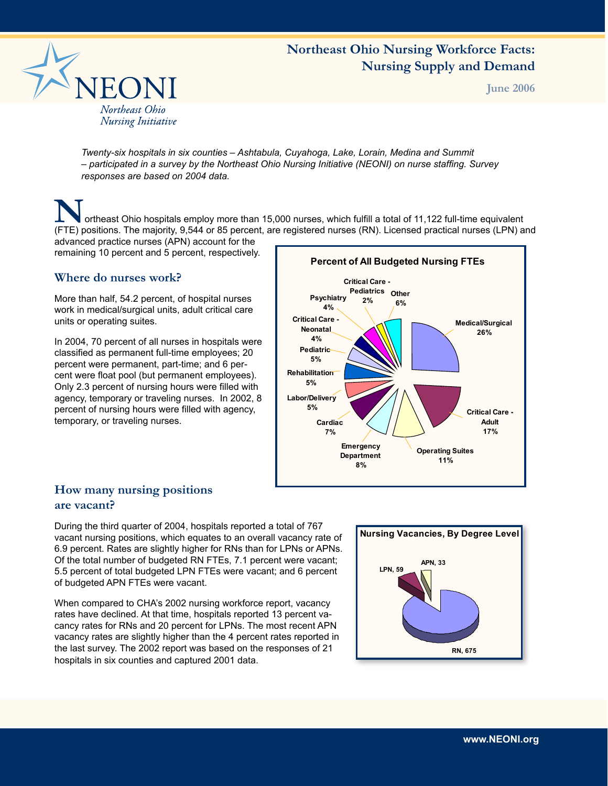# **Northeast Ohio Nursing Workforce Facts: Nursing Supply and Demand**



**June 2006**

*Twenty-six hospitals in six counties – Ashtabula, Cuyahoga, Lake, Lorain, Medina and Summit – participated in a survey by the Northeast Ohio Nursing Initiative (NEONI) on nurse staffing. Survey responses are based on 2004 data.*

**N**ortheast Ohio hospitals employ more than 15,000 nurses, which fulfill a total of 11,122 full-time equivalent (FTE) positions. The majority, 9,544 or 85 percent, are registered nurses (RN). Licensed practical nurses (LPN) and

advanced practice nurses (APN) account for the remaining 10 percent and 5 percent, respectively.

### **Where do nurses work?**

More than half, 54.2 percent, of hospital nurses work in medical/surgical units, adult critical care units or operating suites.

In 2004, 70 percent of all nurses in hospitals were classified as permanent full-time employees; 20 percent were permanent, part-time; and 6 percent were float pool (but permanent employees). Only 2.3 percent of nursing hours were filled with agency, temporary or traveling nurses. In 2002, 8 percent of nursing hours were filled with agency, temporary, or traveling nurses.



# **How many nursing positions are vacant?**

During the third quarter of 2004, hospitals reported a total of 767 vacant nursing positions, which equates to an overall vacancy rate of 6.9 percent. Rates are slightly higher for RNs than for LPNs or APNs. Of the total number of budgeted RN FTEs, 7.1 percent were vacant; 5.5 percent of total budgeted LPN FTEs were vacant; and 6 percent of budgeted APN FTEs were vacant.

When compared to CHA's 2002 nursing workforce report, vacancy rates have declined. At that time, hospitals reported 13 percent vacancy rates for RNs and 20 percent for LPNs. The most recent APN vacancy rates are slightly higher than the 4 percent rates reported in the last survey. The 2002 report was based on the responses of 21 hospitals in six counties and captured 2001 data.

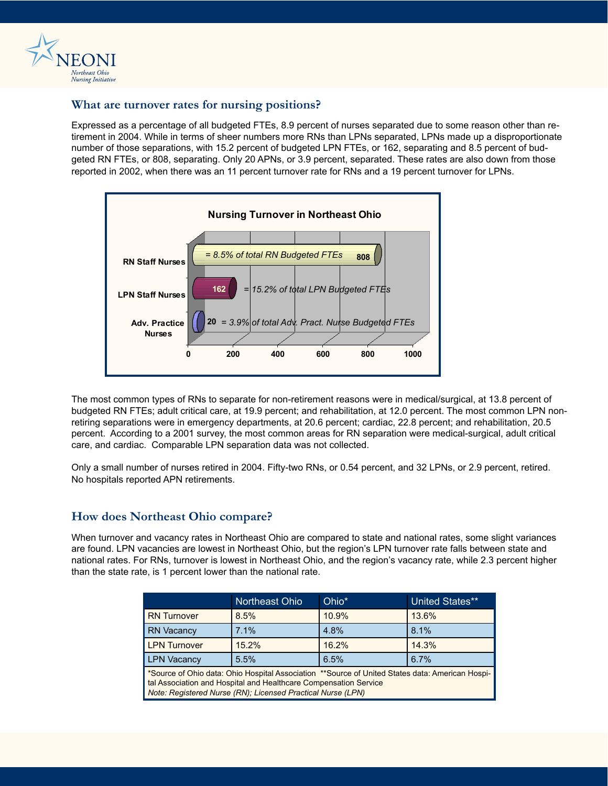

#### **What are turnover rates for nursing positions?**

Expressed as a percentage of all budgeted FTEs, 8.9 percent of nurses separated due to some reason other than retirement in 2004. While in terms of sheer numbers more RNs than LPNs separated, LPNs made up a disproportionate number of those separations, with 15.2 percent of budgeted LPN FTEs, or 162, separating and 8.5 percent of budgeted RN FTEs, or 808, separating. Only 20 APNs, or 3.9 percent, separated. These rates are also down from those reported in 2002, when there was an 11 percent turnover rate for RNs and a 19 percent turnover for LPNs.



The most common types of RNs to separate for non-retirement reasons were in medical/surgical, at 13.8 percent of budgeted RN FTEs; adult critical care, at 19.9 percent; and rehabilitation, at 12.0 percent. The most common LPN nonretiring separations were in emergency departments, at 20.6 percent; cardiac, 22.8 percent; and rehabilitation, 20.5 percent. According to a 2001 survey, the most common areas for RN separation were medical-surgical, adult critical care, and cardiac. Comparable LPN separation data was not collected.

Only a small number of nurses retired in 2004. Fifty-two RNs, or 0.54 percent, and 32 LPNs, or 2.9 percent, retired. No hospitals reported APN retirements.

#### **How does Northeast Ohio compare?**

When turnover and vacancy rates in Northeast Ohio are compared to state and national rates, some slight variances are found. LPN vacancies are lowest in Northeast Ohio, but the region's LPN turnover rate falls between state and national rates. For RNs, turnover is lowest in Northeast Ohio, and the region's vacancy rate, while 2.3 percent higher than the state rate, is 1 percent lower than the national rate.

|                                                                                                                                                                                                                                    | Northeast Ohio | Ohio* | <b>United States**</b> |
|------------------------------------------------------------------------------------------------------------------------------------------------------------------------------------------------------------------------------------|----------------|-------|------------------------|
| <b>RN</b> Turnover                                                                                                                                                                                                                 | 8.5%           | 10.9% | 13.6%                  |
| <b>RN Vacancy</b>                                                                                                                                                                                                                  | 7.1%           | 4.8%  | 8.1%                   |
| <b>LPN Turnover</b>                                                                                                                                                                                                                | 15.2%          | 16.2% | 14.3%                  |
| <b>LPN Vacancy</b>                                                                                                                                                                                                                 | 5.5%           | 6.5%  | 6.7%                   |
| *Source of Ohio data: Ohio Hospital Association **Source of United States data: American Hospi-<br>tal Association and Hospital and Healthcare Compensation Service<br>Note: Registered Nurse (RN); Licensed Practical Nurse (LPN) |                |       |                        |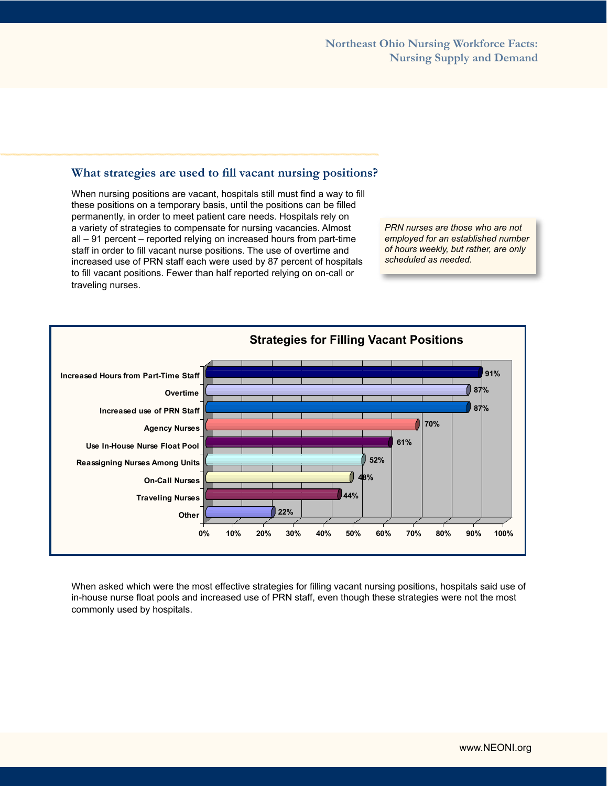#### **What strategies are used to fill vacant nursing positions?**

When nursing positions are vacant, hospitals still must find a way to fill these positions on a temporary basis, until the positions can be filled permanently, in order to meet patient care needs. Hospitals rely on a variety of strategies to compensate for nursing vacancies. Almost all – 91 percent – reported relying on increased hours from part-time staff in order to fill vacant nurse positions. The use of overtime and increased use of PRN staff each were used by 87 percent of hospitals to fill vacant positions. Fewer than half reported relying on on-call or traveling nurses.

*PRN nurses are those who are not employed for an established number of hours weekly, but rather, are only scheduled as needed.*



When asked which were the most effective strategies for filling vacant nursing positions, hospitals said use of in-house nurse float pools and increased use of PRN staff, even though these strategies were not the most commonly used by hospitals.